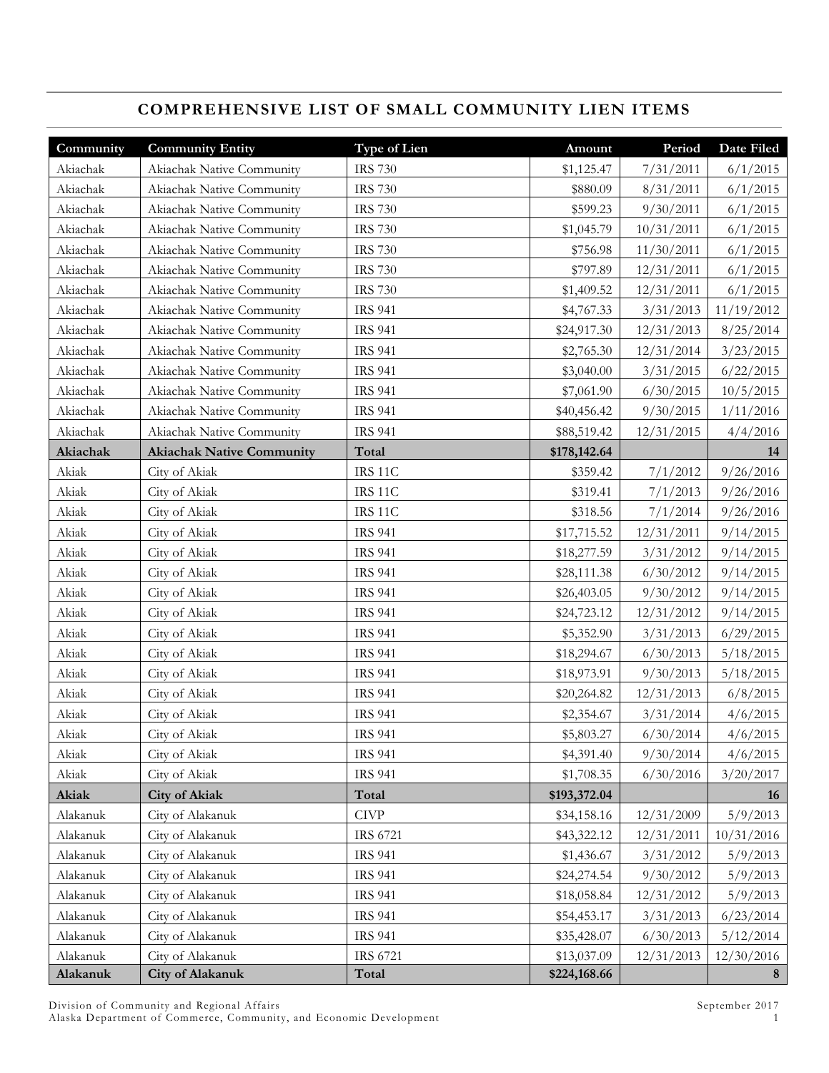# **COMPREHENSIVE LIST OF SMALL COMMUNITY LIEN ITEMS**

| Community | <b>Community Entity</b>          | <b>Type of Lien</b> | Amount       | Period     | Date Filed |
|-----------|----------------------------------|---------------------|--------------|------------|------------|
| Akiachak  | Akiachak Native Community        | <b>IRS 730</b>      | \$1,125.47   | 7/31/2011  | 6/1/2015   |
| Akiachak  | Akiachak Native Community        | <b>IRS 730</b>      | \$880.09     | 8/31/2011  | 6/1/2015   |
| Akiachak  | Akiachak Native Community        | <b>IRS 730</b>      | \$599.23     | 9/30/2011  | 6/1/2015   |
| Akiachak  | Akiachak Native Community        | <b>IRS 730</b>      | \$1,045.79   | 10/31/2011 | 6/1/2015   |
| Akiachak  | Akiachak Native Community        | <b>IRS 730</b>      | \$756.98     | 11/30/2011 | 6/1/2015   |
| Akiachak  | Akiachak Native Community        | <b>IRS 730</b>      | \$797.89     | 12/31/2011 | 6/1/2015   |
| Akiachak  | Akiachak Native Community        | <b>IRS 730</b>      | \$1,409.52   | 12/31/2011 | 6/1/2015   |
| Akiachak  | Akiachak Native Community        | <b>IRS 941</b>      | \$4,767.33   | 3/31/2013  | 11/19/2012 |
| Akiachak  | Akiachak Native Community        | <b>IRS 941</b>      | \$24,917.30  | 12/31/2013 | 8/25/2014  |
| Akiachak  | Akiachak Native Community        | <b>IRS 941</b>      | \$2,765.30   | 12/31/2014 | 3/23/2015  |
| Akiachak  | Akiachak Native Community        | <b>IRS 941</b>      | \$3,040.00   | 3/31/2015  | 6/22/2015  |
| Akiachak  | Akiachak Native Community        | <b>IRS 941</b>      | \$7,061.90   | 6/30/2015  | 10/5/2015  |
| Akiachak  | Akiachak Native Community        | <b>IRS 941</b>      | \$40,456.42  | 9/30/2015  | 1/11/2016  |
| Akiachak  | Akiachak Native Community        | <b>IRS 941</b>      | \$88,519.42  | 12/31/2015 | 4/4/2016   |
| Akiachak  | <b>Akiachak Native Community</b> | Total               | \$178,142.64 |            | 14         |
| Akiak     | City of Akiak                    | IRS 11C             | \$359.42     | 7/1/2012   | 9/26/2016  |
| Akiak     | City of Akiak                    | IRS <sub>11</sub> C | \$319.41     | 7/1/2013   | 9/26/2016  |
| Akiak     | City of Akiak                    | IRS 11C             | \$318.56     | 7/1/2014   | 9/26/2016  |
| Akiak     | City of Akiak                    | <b>IRS 941</b>      | \$17,715.52  | 12/31/2011 | 9/14/2015  |
| Akiak     | City of Akiak                    | <b>IRS 941</b>      | \$18,277.59  | 3/31/2012  | 9/14/2015  |
| Akiak     | City of Akiak                    | <b>IRS 941</b>      | \$28,111.38  | 6/30/2012  | 9/14/2015  |
| Akiak     | City of Akiak                    | <b>IRS 941</b>      | \$26,403.05  | 9/30/2012  | 9/14/2015  |
| Akiak     | City of Akiak                    | <b>IRS 941</b>      | \$24,723.12  | 12/31/2012 | 9/14/2015  |
| Akiak     | City of Akiak                    | <b>IRS 941</b>      | \$5,352.90   | 3/31/2013  | 6/29/2015  |
| Akiak     | City of Akiak                    | <b>IRS 941</b>      | \$18,294.67  | 6/30/2013  | 5/18/2015  |
| Akiak     | City of Akiak                    | <b>IRS 941</b>      | \$18,973.91  | 9/30/2013  | 5/18/2015  |
| Akiak     | City of Akiak                    | <b>IRS 941</b>      | \$20,264.82  | 12/31/2013 | 6/8/2015   |
| Akiak     | City of Akiak                    | <b>IRS 941</b>      | \$2,354.67   | 3/31/2014  | 4/6/2015   |
| Akiak     | City of Akiak                    | <b>IRS 941</b>      | \$5,803.27   | 6/30/2014  | 4/6/2015   |
| Akiak     | City of Akiak                    | <b>IRS 941</b>      | \$4,391.40   | 9/30/2014  | 4/6/2015   |
| Akiak     | City of Akiak                    | <b>IRS 941</b>      | \$1,708.35   | 6/30/2016  | 3/20/2017  |
| Akiak     | <b>City of Akiak</b>             | Total               | \$193,372.04 |            | 16         |
| Alakanuk  | City of Alakanuk                 | CIVP                | \$34,158.16  | 12/31/2009 | 5/9/2013   |
| Alakanuk  | City of Alakanuk                 | IRS 6721            | \$43,322.12  | 12/31/2011 | 10/31/2016 |
| Alakanuk  | City of Alakanuk                 | <b>IRS 941</b>      | \$1,436.67   | 3/31/2012  | 5/9/2013   |
| Alakanuk  | City of Alakanuk                 | <b>IRS 941</b>      | \$24,274.54  | 9/30/2012  | 5/9/2013   |
| Alakanuk  | City of Alakanuk                 | <b>IRS 941</b>      | \$18,058.84  | 12/31/2012 | 5/9/2013   |
| Alakanuk  | City of Alakanuk                 | <b>IRS 941</b>      | \$54,453.17  | 3/31/2013  | 6/23/2014  |
| Alakanuk  | City of Alakanuk                 | <b>IRS 941</b>      | \$35,428.07  | 6/30/2013  | 5/12/2014  |
| Alakanuk  | City of Alakanuk                 | <b>IRS 6721</b>     | \$13,037.09  | 12/31/2013 | 12/30/2016 |
| Alakanuk  | <b>City of Alakanuk</b>          | Total               | \$224,168.66 |            | 8          |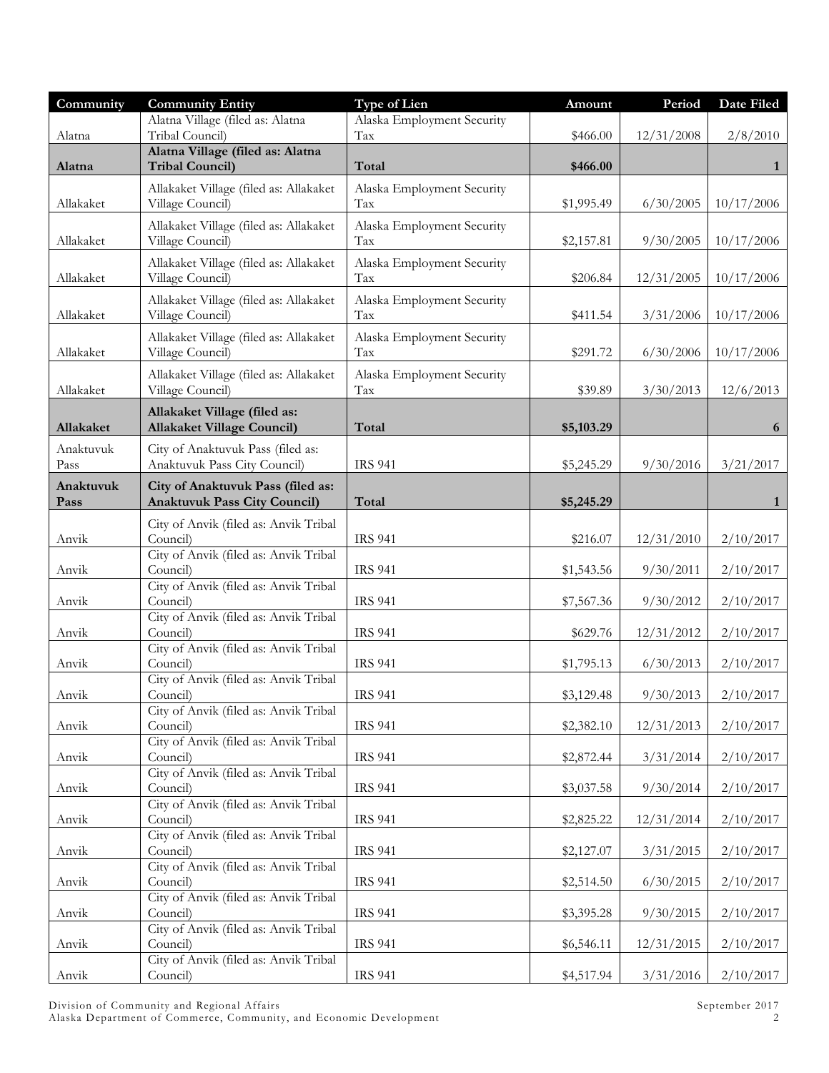| Community         | <b>Community Entity</b>                                                  | <b>Type of Lien</b>                                | Amount     | Period     | Date Filed |
|-------------------|--------------------------------------------------------------------------|----------------------------------------------------|------------|------------|------------|
|                   | Alatna Village (filed as: Alatna                                         | Alaska Employment Security                         |            |            |            |
| Alatna            | Tribal Council)                                                          | $\operatorname{Tax}$                               | \$466.00   | 12/31/2008 | 2/8/2010   |
| Alatna            | Alatna Village (filed as: Alatna<br><b>Tribal Council)</b>               | Total                                              | \$466.00   |            | 1          |
|                   |                                                                          |                                                    |            |            |            |
| Allakaket         | Allakaket Village (filed as: Allakaket<br>Village Council)               | Alaska Employment Security<br>Tax                  | \$1,995.49 | 6/30/2005  | 10/17/2006 |
| Allakaket         | Allakaket Village (filed as: Allakaket<br>Village Council)               | Alaska Employment Security<br>$\operatorname{Tax}$ | \$2,157.81 | 9/30/2005  | 10/17/2006 |
| Allakaket         | Allakaket Village (filed as: Allakaket<br>Village Council)               | Alaska Employment Security<br>Tax                  | \$206.84   | 12/31/2005 | 10/17/2006 |
| Allakaket         | Allakaket Village (filed as: Allakaket<br>Village Council)               | Alaska Employment Security<br>Tax                  | \$411.54   | 3/31/2006  | 10/17/2006 |
| Allakaket         | Allakaket Village (filed as: Allakaket<br>Village Council)               | Alaska Employment Security<br>Tax                  | \$291.72   | 6/30/2006  | 10/17/2006 |
| Allakaket         | Allakaket Village (filed as: Allakaket<br>Village Council)               | Alaska Employment Security<br>Tax                  | \$39.89    | 3/30/2013  | 12/6/2013  |
| Allakaket         | Allakaket Village (filed as:<br><b>Allakaket Village Council)</b>        | Total                                              | \$5,103.29 |            | 6          |
| Anaktuvuk<br>Pass | City of Anaktuvuk Pass (filed as:<br>Anaktuvuk Pass City Council)        | <b>IRS 941</b>                                     | \$5,245.29 | 9/30/2016  | 3/21/2017  |
| Anaktuvuk<br>Pass | City of Anaktuvuk Pass (filed as:<br><b>Anaktuvuk Pass City Council)</b> | Total                                              | \$5,245.29 |            | 1          |
|                   | City of Anvik (filed as: Anvik Tribal                                    |                                                    |            |            |            |
| Anvik             | Council)<br>City of Anvik (filed as: Anvik Tribal                        | <b>IRS 941</b>                                     | \$216.07   | 12/31/2010 | 2/10/2017  |
| Anvik             | Council)<br>City of Anvik (filed as: Anvik Tribal                        | <b>IRS 941</b>                                     | \$1,543.56 | 9/30/2011  | 2/10/2017  |
| Anvik             | Council)                                                                 | <b>IRS 941</b>                                     | \$7,567.36 | 9/30/2012  | 2/10/2017  |
| Anvik             | City of Anvik (filed as: Anvik Tribal<br>Council)                        | <b>IRS 941</b>                                     | \$629.76   | 12/31/2012 | 2/10/2017  |
| Anvik             | City of Anvik (filed as: Anvik Tribal<br>Council)                        | <b>IRS 941</b>                                     | \$1,795.13 | 6/30/2013  | 2/10/2017  |
| Anvik             | City of Anvik (filed as: Anvik Tribal<br>Council)                        | <b>IRS 941</b>                                     | \$3,129.48 | 9/30/2013  | 2/10/2017  |
|                   | City of Anvik (filed as: Anvik Tribal                                    |                                                    |            |            |            |
| Anvik             | Council)<br>City of Anvik (filed as: Anvik Tribal                        | <b>IRS 941</b>                                     | \$2,382.10 | 12/31/2013 | 2/10/2017  |
| Anvik             | Council)<br>City of Anvik (filed as: Anvik Tribal                        | <b>IRS 941</b>                                     | \$2,872.44 | 3/31/2014  | 2/10/2017  |
| Anvik             | Council)<br>City of Anvik (filed as: Anvik Tribal                        | <b>IRS 941</b>                                     | \$3,037.58 | 9/30/2014  | 2/10/2017  |
| Anvik             | Council)                                                                 | <b>IRS 941</b>                                     | \$2,825.22 | 12/31/2014 | 2/10/2017  |
| Anvik             | City of Anvik (filed as: Anvik Tribal<br>Council)                        | <b>IRS 941</b>                                     | \$2,127.07 | 3/31/2015  | 2/10/2017  |
| Anvik             | City of Anvik (filed as: Anvik Tribal<br>Council)                        | <b>IRS 941</b>                                     | \$2,514.50 | 6/30/2015  | 2/10/2017  |
|                   | City of Anvik (filed as: Anvik Tribal                                    |                                                    |            |            |            |
| Anvik             | Council)<br>City of Anvik (filed as: Anvik Tribal                        | <b>IRS 941</b>                                     | \$3,395.28 | 9/30/2015  | 2/10/2017  |
| Anvik             | Council)<br>City of Anvik (filed as: Anvik Tribal                        | <b>IRS 941</b>                                     | \$6,546.11 | 12/31/2015 | 2/10/2017  |
| Anvik             | Council)                                                                 | <b>IRS 941</b>                                     | \$4,517.94 | 3/31/2016  | 2/10/2017  |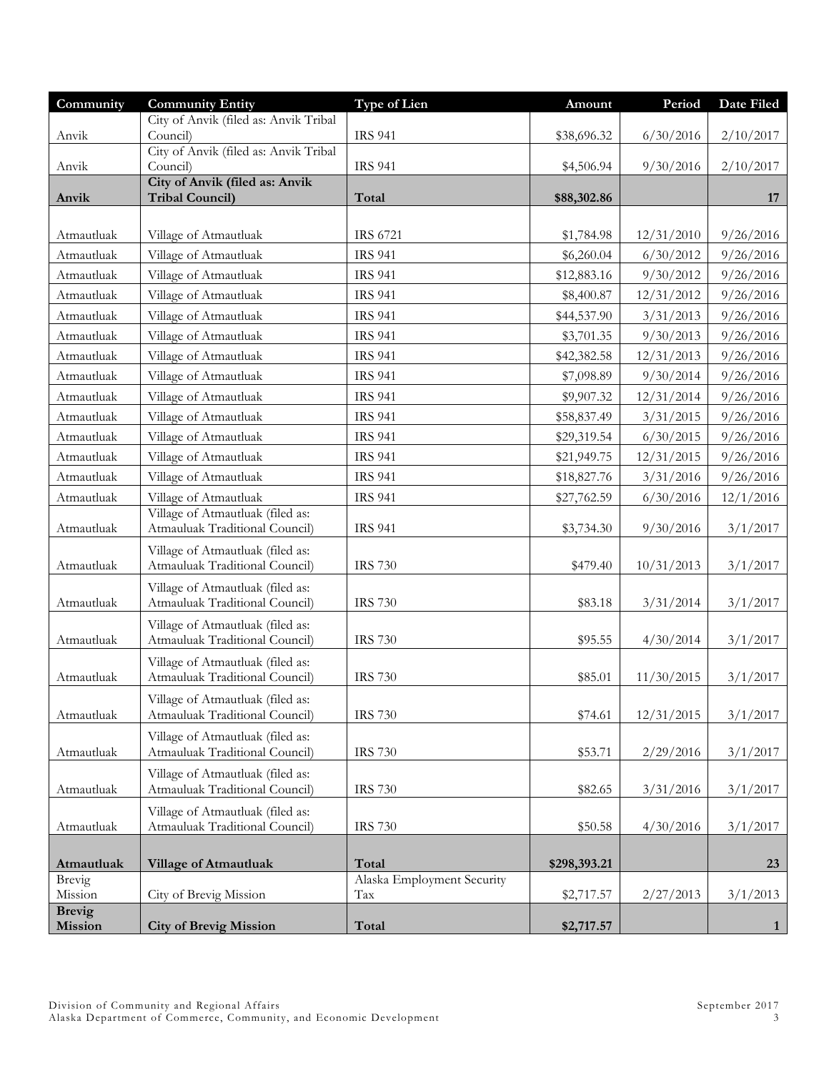| Community         | <b>Community Entity</b>                                            | <b>Type of Lien</b>               | Amount       | Period     | Date Filed   |
|-------------------|--------------------------------------------------------------------|-----------------------------------|--------------|------------|--------------|
|                   | City of Anvik (filed as: Anvik Tribal                              |                                   |              |            |              |
| Anvik             | Council)<br>City of Anvik (filed as: Anvik Tribal                  | <b>IRS 941</b>                    | \$38,696.32  | 6/30/2016  | 2/10/2017    |
| Anvik             | Council)                                                           | <b>IRS 941</b>                    | \$4,506.94   | 9/30/2016  | 2/10/2017    |
|                   | City of Anvik (filed as: Anvik                                     |                                   |              |            |              |
| Anvik             | <b>Tribal Council)</b>                                             | Total                             | \$88,302.86  |            | 17           |
|                   |                                                                    |                                   |              |            |              |
| Atmautluak        | Village of Atmautluak                                              | <b>IRS 6721</b>                   | \$1,784.98   | 12/31/2010 | 9/26/2016    |
| Atmautluak        | Village of Atmautluak                                              | <b>IRS 941</b>                    | \$6,260.04   | 6/30/2012  | 9/26/2016    |
| Atmautluak        | Village of Atmautluak                                              | <b>IRS 941</b>                    | \$12,883.16  | 9/30/2012  | 9/26/2016    |
| Atmautluak        | Village of Atmautluak                                              | <b>IRS 941</b>                    | \$8,400.87   | 12/31/2012 | 9/26/2016    |
| Atmautluak        | Village of Atmautluak                                              | <b>IRS 941</b>                    | \$44,537.90  | 3/31/2013  | 9/26/2016    |
| Atmautluak        | Village of Atmautluak                                              | <b>IRS 941</b>                    | \$3,701.35   | 9/30/2013  | 9/26/2016    |
| Atmautluak        | Village of Atmautluak                                              | <b>IRS 941</b>                    | \$42,382.58  | 12/31/2013 | 9/26/2016    |
| Atmautluak        | Village of Atmautluak                                              | <b>IRS 941</b>                    | \$7,098.89   | 9/30/2014  | 9/26/2016    |
| Atmautluak        | Village of Atmautluak                                              | <b>IRS 941</b>                    | \$9,907.32   | 12/31/2014 | 9/26/2016    |
| Atmautluak        | Village of Atmautluak                                              | <b>IRS 941</b>                    | \$58,837.49  | 3/31/2015  | 9/26/2016    |
| Atmautluak        | Village of Atmautluak                                              | <b>IRS 941</b>                    | \$29,319.54  | 6/30/2015  | 9/26/2016    |
| Atmautluak        | Village of Atmautluak                                              | <b>IRS 941</b>                    | \$21,949.75  | 12/31/2015 | 9/26/2016    |
| Atmautluak        | Village of Atmautluak                                              | <b>IRS 941</b>                    | \$18,827.76  | 3/31/2016  | 9/26/2016    |
| Atmautluak        | Village of Atmautluak                                              | <b>IRS 941</b>                    | \$27,762.59  | 6/30/2016  | 12/1/2016    |
|                   | Village of Atmautluak (filed as:                                   |                                   |              |            |              |
| Atmautluak        | Atmauluak Traditional Council)                                     | <b>IRS 941</b>                    | \$3,734.30   | 9/30/2016  | 3/1/2017     |
|                   | Village of Atmautluak (filed as:                                   |                                   |              |            |              |
| Atmautluak        | Atmauluak Traditional Council)                                     | <b>IRS 730</b>                    | \$479.40     | 10/31/2013 | 3/1/2017     |
|                   | Village of Atmautluak (filed as:                                   |                                   |              |            |              |
| Atmautluak        | Atmauluak Traditional Council)                                     | <b>IRS 730</b>                    | \$83.18      | 3/31/2014  | 3/1/2017     |
| Atmautluak        | Village of Atmautluak (filed as:<br>Atmauluak Traditional Council) | <b>IRS 730</b>                    |              | 4/30/2014  | 3/1/2017     |
|                   |                                                                    |                                   | \$95.55      |            |              |
| Atmautluak        | Village of Atmautluak (filed as:<br>Atmauluak Traditional Council) | <b>IRS 730</b>                    | \$85.01      | 11/30/2015 | 3/1/2017     |
|                   |                                                                    |                                   |              |            |              |
| Atmautluak        | Village of Atmautluak (filed as:<br>Atmauluak Traditional Council) | <b>IRS 730</b>                    | \$74.61      | 12/31/2015 | 3/1/2017     |
|                   | Village of Atmautluak (filed as:                                   |                                   |              |            |              |
| Atmautluak        | Atmauluak Traditional Council)                                     | <b>IRS 730</b>                    | \$53.71      | 2/29/2016  | 3/1/2017     |
|                   | Village of Atmautluak (filed as:                                   |                                   |              |            |              |
| Atmautluak        | Atmauluak Traditional Council)                                     | <b>IRS 730</b>                    | \$82.65      | 3/31/2016  | 3/1/2017     |
|                   | Village of Atmautluak (filed as:                                   |                                   |              |            |              |
| Atmautluak        | Atmauluak Traditional Council)                                     | <b>IRS 730</b>                    | \$50.58      | 4/30/2016  | 3/1/2017     |
|                   |                                                                    |                                   |              |            |              |
| Atmautluak        | <b>Village of Atmautluak</b>                                       | Total                             | \$298,393.21 |            | 23           |
| Brevig<br>Mission | City of Brevig Mission                                             | Alaska Employment Security<br>Tax | \$2,717.57   | 2/27/2013  | 3/1/2013     |
| <b>Brevig</b>     |                                                                    |                                   |              |            |              |
| Mission           | <b>City of Brevig Mission</b>                                      | Total                             | \$2,717.57   |            | $\mathbf{1}$ |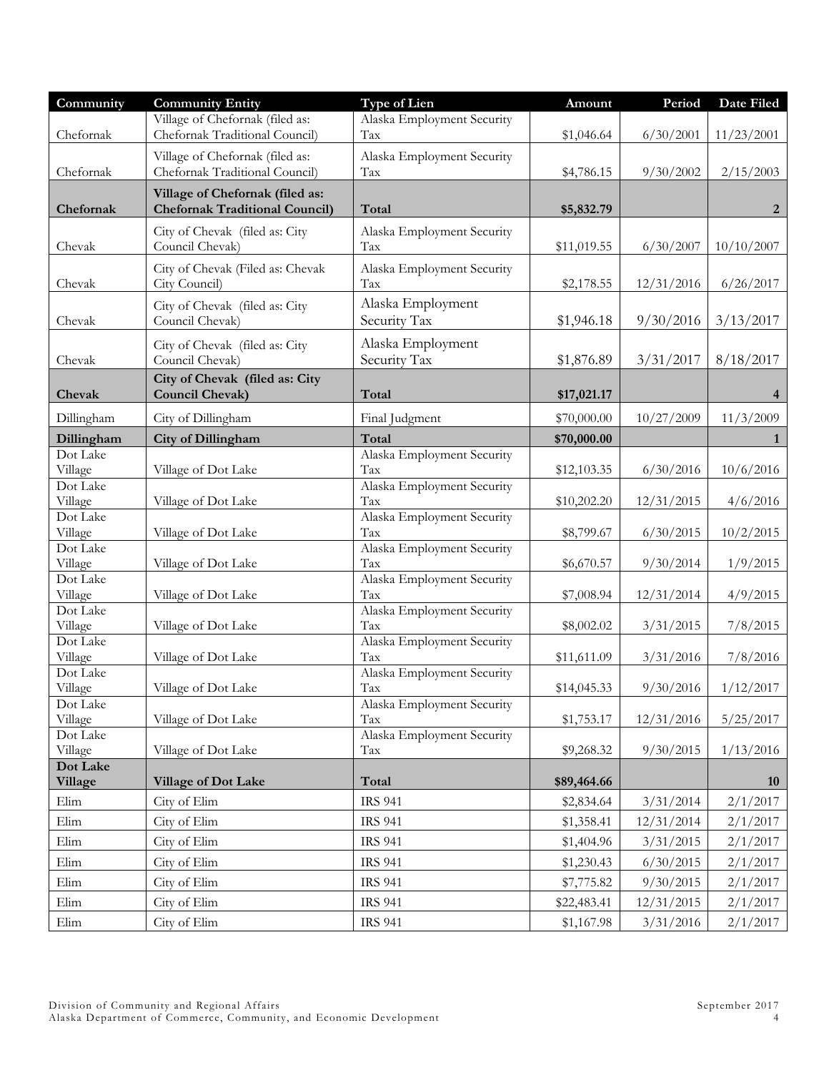| Community                       | <b>Community Entity</b>                                                  | <b>Type of Lien</b>               | Amount      | Period     | Date Filed     |
|---------------------------------|--------------------------------------------------------------------------|-----------------------------------|-------------|------------|----------------|
| Chefornak                       | Village of Chefornak (filed as:<br>Chefornak Traditional Council)        | Alaska Employment Security<br>Tax | \$1,046.64  | 6/30/2001  | 11/23/2001     |
| Chefornak                       | Village of Chefornak (filed as:<br>Chefornak Traditional Council)        | Alaska Employment Security<br>Tax | \$4,786.15  | 9/30/2002  | 2/15/2003      |
| Chefornak                       | Village of Chefornak (filed as:<br><b>Chefornak Traditional Council)</b> | Total                             | \$5,832.79  |            | 2              |
| Chevak                          | City of Chevak (filed as: City<br>Council Chevak)                        | Alaska Employment Security<br>Tax | \$11,019.55 | 6/30/2007  | 10/10/2007     |
| Chevak                          | City of Chevak (Filed as: Chevak<br>City Council)                        | Alaska Employment Security<br>Tax | \$2,178.55  | 12/31/2016 | 6/26/2017      |
| Chevak                          | City of Chevak (filed as: City<br>Council Chevak)                        | Alaska Employment<br>Security Tax | \$1,946.18  | 9/30/2016  | 3/13/2017      |
| Chevak                          | City of Chevak (filed as: City<br>Council Chevak)                        | Alaska Employment<br>Security Tax | \$1,876.89  | 3/31/2017  | 8/18/2017      |
| Chevak                          | City of Chevak (filed as: City<br><b>Council Chevak)</b>                 | Total                             | \$17,021.17 |            | $\overline{4}$ |
| Dillingham                      | City of Dillingham                                                       | Final Judgment                    | \$70,000.00 | 10/27/2009 | 11/3/2009      |
| Dillingham                      | City of Dillingham                                                       | Total                             | \$70,000.00 |            | $\mathbf{1}$   |
| Dot Lake<br>Village             | Village of Dot Lake                                                      | Alaska Employment Security<br>Tax | \$12,103.35 | 6/30/2016  | 10/6/2016      |
| Dot Lake<br>Village             | Village of Dot Lake                                                      | Alaska Employment Security<br>Tax | \$10,202.20 | 12/31/2015 | 4/6/2016       |
| Dot Lake<br>Village             | Village of Dot Lake                                                      | Alaska Employment Security<br>Tax | \$8,799.67  | 6/30/2015  | 10/2/2015      |
| Dot Lake<br>Village<br>Dot Lake | Village of Dot Lake                                                      | Alaska Employment Security<br>Tax | \$6,670.57  | 9/30/2014  | 1/9/2015       |
| Village                         | Village of Dot Lake                                                      | Alaska Employment Security<br>Tax | \$7,008.94  | 12/31/2014 | 4/9/2015       |
| Dot Lake<br>Village             | Village of Dot Lake                                                      | Alaska Employment Security<br>Tax | \$8,002.02  | 3/31/2015  | 7/8/2015       |
| Dot Lake<br>Village             | Village of Dot Lake                                                      | Alaska Employment Security<br>Tax | \$11,611.09 | 3/31/2016  | 7/8/2016       |
| Dot Lake<br>Village             | Village of Dot Lake                                                      | Alaska Employment Security<br>Tax | \$14,045.33 | 9/30/2016  | 1/12/2017      |
| Dot Lake<br>Village             | Village of Dot Lake                                                      | Alaska Employment Security<br>Tax | \$1,753.17  | 12/31/2016 | 5/25/2017      |
| Dot Lake<br>Village             | Village of Dot Lake                                                      | Alaska Employment Security<br>Tax | \$9,268.32  | 9/30/2015  | 1/13/2016      |
| Dot Lake<br>Village             | <b>Village of Dot Lake</b>                                               | Total                             | \$89,464.66 |            | 10             |
| Elim                            | City of Elim                                                             | <b>IRS 941</b>                    | \$2,834.64  | 3/31/2014  | 2/1/2017       |
| Elim                            | City of Elim                                                             | <b>IRS 941</b>                    | \$1,358.41  | 12/31/2014 | 2/1/2017       |
| Elim                            | City of Elim                                                             | <b>IRS 941</b>                    | \$1,404.96  | 3/31/2015  | 2/1/2017       |
| Elim                            | City of Elim                                                             | <b>IRS 941</b>                    | \$1,230.43  | 6/30/2015  | 2/1/2017       |
| Elim                            | City of Elim                                                             | <b>IRS 941</b>                    | \$7,775.82  | 9/30/2015  | 2/1/2017       |
| Elim                            | City of Elim                                                             | <b>IRS 941</b>                    | \$22,483.41 | 12/31/2015 | 2/1/2017       |
| Elim                            | City of Elim                                                             | <b>IRS 941</b>                    | \$1,167.98  | 3/31/2016  | 2/1/2017       |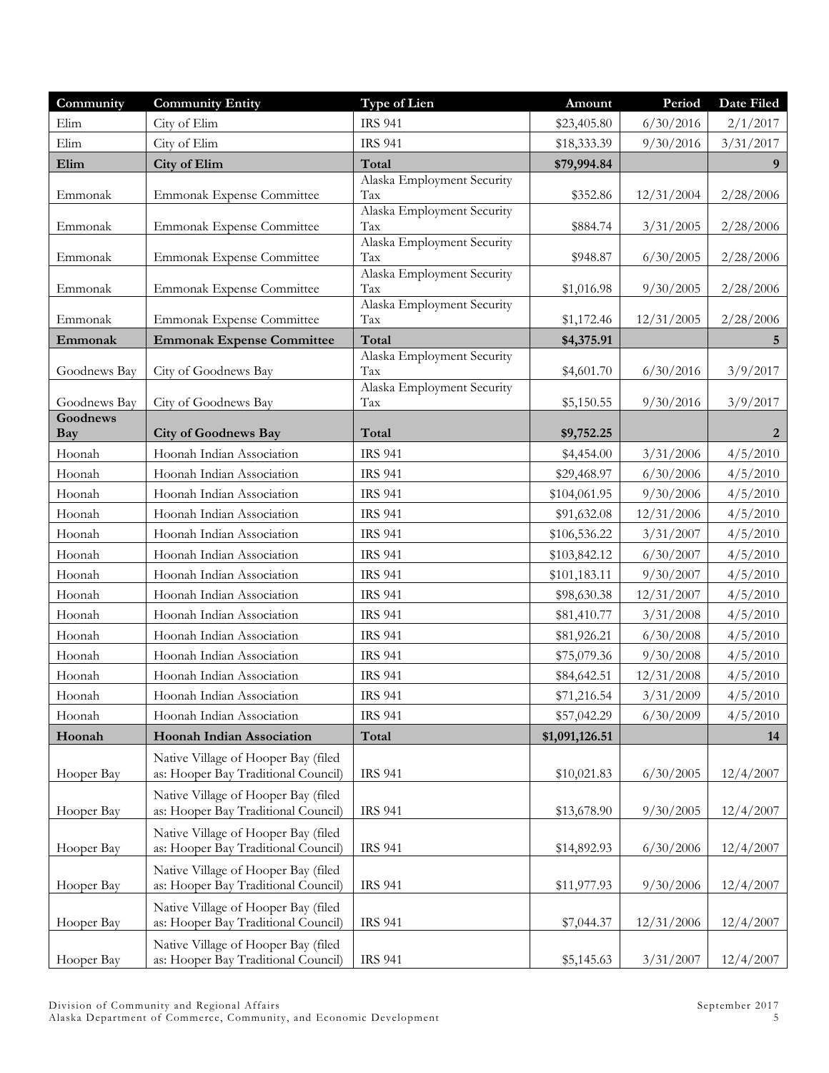| Community              | <b>Community Entity</b>                                                    | Type of Lien                        | Amount         | Period     | Date Filed |
|------------------------|----------------------------------------------------------------------------|-------------------------------------|----------------|------------|------------|
| Elim                   | City of Elim                                                               | <b>IRS 941</b>                      | \$23,405.80    | 6/30/2016  | 2/1/2017   |
| Elim                   | City of Elim                                                               | <b>IRS 941</b>                      | \$18,333.39    | 9/30/2016  | 3/31/2017  |
| Elim                   | <b>City of Elim</b>                                                        | Total                               | \$79,994.84    |            | 9          |
| Emmonak                |                                                                            | Alaska Employment Security<br>Tax   |                |            |            |
|                        | Emmonak Expense Committee                                                  | Alaska Employment Security          | \$352.86       | 12/31/2004 | 2/28/2006  |
| Emmonak                | Emmonak Expense Committee                                                  | Tax                                 | \$884.74       | 3/31/2005  | 2/28/2006  |
|                        |                                                                            | Alaska Employment Security          |                |            |            |
| Emmonak                | Emmonak Expense Committee                                                  | Tax<br>Alaska Employment Security   | \$948.87       | 6/30/2005  | 2/28/2006  |
| Emmonak                | Emmonak Expense Committee                                                  | Tax                                 | \$1,016.98     | 9/30/2005  | 2/28/2006  |
|                        |                                                                            | Alaska Employment Security          |                |            |            |
| Emmonak                | Emmonak Expense Committee                                                  | Tax                                 | \$1,172.46     | 12/31/2005 | 2/28/2006  |
| Emmonak                | <b>Emmonak Expense Committee</b>                                           | Total<br>Alaska Employment Security | \$4,375.91     |            | 5          |
| Goodnews Bay           | City of Goodnews Bay                                                       | Tax                                 | \$4,601.70     | 6/30/2016  | 3/9/2017   |
|                        |                                                                            | Alaska Employment Security          |                |            |            |
| Goodnews Bay           | City of Goodnews Bay                                                       | Tax                                 | \$5,150.55     | 9/30/2016  | 3/9/2017   |
| Goodnews<br><b>Bay</b> | <b>City of Goodnews Bay</b>                                                | Total                               | \$9,752.25     |            | 2          |
| Hoonah                 | Hoonah Indian Association                                                  | <b>IRS 941</b>                      | \$4,454.00     | 3/31/2006  | 4/5/2010   |
| Hoonah                 | Hoonah Indian Association                                                  | <b>IRS 941</b>                      | \$29,468.97    | 6/30/2006  | 4/5/2010   |
| Hoonah                 | Hoonah Indian Association                                                  | <b>IRS 941</b>                      | \$104,061.95   | 9/30/2006  | 4/5/2010   |
| Hoonah                 | Hoonah Indian Association                                                  | <b>IRS 941</b>                      | \$91,632.08    | 12/31/2006 | 4/5/2010   |
| Hoonah                 | Hoonah Indian Association                                                  | <b>IRS 941</b>                      | \$106,536.22   | 3/31/2007  | 4/5/2010   |
| Hoonah                 | Hoonah Indian Association                                                  | <b>IRS 941</b>                      | \$103,842.12   | 6/30/2007  | 4/5/2010   |
| Hoonah                 | Hoonah Indian Association                                                  | <b>IRS 941</b>                      | \$101,183.11   | 9/30/2007  | 4/5/2010   |
| Hoonah                 | Hoonah Indian Association                                                  | <b>IRS 941</b>                      | \$98,630.38    | 12/31/2007 | 4/5/2010   |
| Hoonah                 | Hoonah Indian Association                                                  | <b>IRS 941</b>                      | \$81,410.77    | 3/31/2008  | 4/5/2010   |
| Hoonah                 | Hoonah Indian Association                                                  | <b>IRS 941</b>                      | \$81,926.21    | 6/30/2008  | 4/5/2010   |
| Hoonah                 | Hoonah Indian Association                                                  | <b>IRS 941</b>                      | \$75,079.36    | 9/30/2008  | 4/5/2010   |
| Hoonah                 | Hoonah Indian Association                                                  | <b>IRS 941</b>                      | \$84,642.51    | 12/31/2008 | 4/5/2010   |
| Hoonah                 | Hoonah Indian Association                                                  | <b>IRS 941</b>                      | \$71,216.54    | 3/31/2009  | 4/5/2010   |
| Hoonah                 | Hoonah Indian Association                                                  | <b>IRS 941</b>                      | \$57,042.29    | 6/30/2009  | 4/5/2010   |
| Hoonah                 | <b>Hoonah Indian Association</b>                                           | Total                               | \$1,091,126.51 |            | 14         |
|                        | Native Village of Hooper Bay (filed                                        |                                     |                |            |            |
| Hooper Bay             | as: Hooper Bay Traditional Council)                                        | <b>IRS 941</b>                      | \$10,021.83    | 6/30/2005  | 12/4/2007  |
|                        | Native Village of Hooper Bay (filed                                        |                                     |                |            |            |
| Hooper Bay             | as: Hooper Bay Traditional Council)                                        | <b>IRS 941</b>                      | \$13,678.90    | 9/30/2005  | 12/4/2007  |
| Hooper Bay             | Native Village of Hooper Bay (filed<br>as: Hooper Bay Traditional Council) | <b>IRS 941</b>                      | \$14,892.93    | 6/30/2006  | 12/4/2007  |
|                        |                                                                            |                                     |                |            |            |
| Hooper Bay             | Native Village of Hooper Bay (filed<br>as: Hooper Bay Traditional Council) | <b>IRS 941</b>                      | \$11,977.93    | 9/30/2006  | 12/4/2007  |
|                        | Native Village of Hooper Bay (filed                                        |                                     |                |            |            |
| Hooper Bay             | as: Hooper Bay Traditional Council)                                        | <b>IRS 941</b>                      | \$7,044.37     | 12/31/2006 | 12/4/2007  |
|                        | Native Village of Hooper Bay (filed                                        |                                     |                |            |            |
| Hooper Bay             | as: Hooper Bay Traditional Council)                                        | <b>IRS 941</b>                      | \$5,145.63     | 3/31/2007  | 12/4/2007  |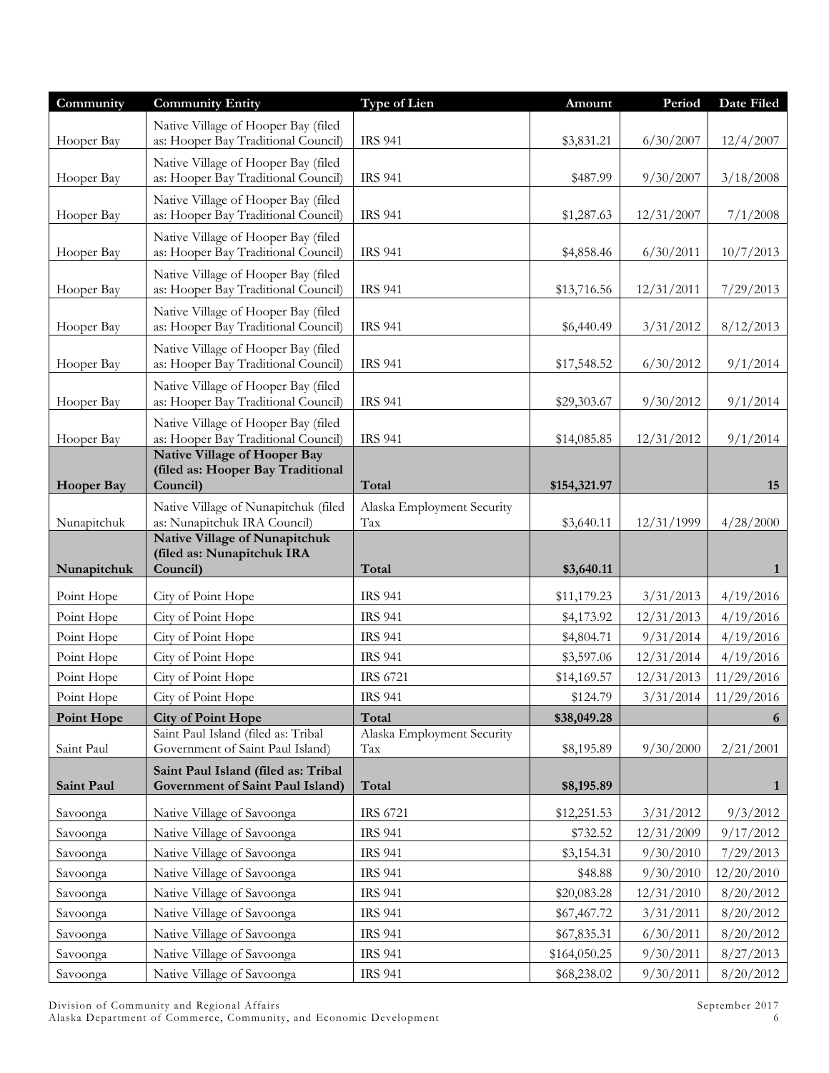| Community         | <b>Community Entity</b>                                                    | Type of Lien                      | Amount       | Period     | Date Filed   |
|-------------------|----------------------------------------------------------------------------|-----------------------------------|--------------|------------|--------------|
|                   | Native Village of Hooper Bay (filed                                        |                                   |              |            |              |
| Hooper Bay        | as: Hooper Bay Traditional Council)                                        | <b>IRS 941</b>                    | \$3,831.21   | 6/30/2007  | 12/4/2007    |
| Hooper Bay        | Native Village of Hooper Bay (filed<br>as: Hooper Bay Traditional Council) | <b>IRS 941</b>                    | \$487.99     | 9/30/2007  |              |
|                   |                                                                            |                                   |              |            | 3/18/2008    |
| Hooper Bay        | Native Village of Hooper Bay (filed<br>as: Hooper Bay Traditional Council) | <b>IRS 941</b>                    | \$1,287.63   | 12/31/2007 | 7/1/2008     |
|                   | Native Village of Hooper Bay (filed                                        |                                   |              |            |              |
| Hooper Bay        | as: Hooper Bay Traditional Council)                                        | <b>IRS 941</b>                    | \$4,858.46   | 6/30/2011  | 10/7/2013    |
|                   | Native Village of Hooper Bay (filed                                        |                                   |              |            |              |
| Hooper Bay        | as: Hooper Bay Traditional Council)                                        | <b>IRS 941</b>                    | \$13,716.56  | 12/31/2011 | 7/29/2013    |
|                   | Native Village of Hooper Bay (filed                                        |                                   |              |            |              |
| Hooper Bay        | as: Hooper Bay Traditional Council)                                        | <b>IRS 941</b>                    | \$6,440.49   | 3/31/2012  | 8/12/2013    |
| Hooper Bay        | Native Village of Hooper Bay (filed<br>as: Hooper Bay Traditional Council) | <b>IRS 941</b>                    | \$17,548.52  | 6/30/2012  | 9/1/2014     |
|                   | Native Village of Hooper Bay (filed                                        |                                   |              |            |              |
| Hooper Bay        | as: Hooper Bay Traditional Council)                                        | <b>IRS 941</b>                    | \$29,303.67  | 9/30/2012  | 9/1/2014     |
|                   | Native Village of Hooper Bay (filed                                        |                                   |              |            |              |
| Hooper Bay        | as: Hooper Bay Traditional Council)<br><b>Native Village of Hooper Bay</b> | <b>IRS 941</b>                    | \$14,085.85  | 12/31/2012 | 9/1/2014     |
|                   | (filed as: Hooper Bay Traditional                                          |                                   |              |            |              |
| <b>Hooper Bay</b> | Council)                                                                   | Total                             | \$154,321.97 |            | 15           |
|                   | Native Village of Nunapitchuk (filed                                       | Alaska Employment Security        |              |            |              |
| Nunapitchuk       | as: Nunapitchuk IRA Council)<br>Native Village of Nunapitchuk              | Tax                               | \$3,640.11   | 12/31/1999 | 4/28/2000    |
|                   | (filed as: Nunapitchuk IRA                                                 |                                   |              |            |              |
| Nunapitchuk       | Council)                                                                   | Total                             | \$3,640.11   |            | 1            |
| Point Hope        | City of Point Hope                                                         | <b>IRS 941</b>                    | \$11,179.23  | 3/31/2013  | 4/19/2016    |
| Point Hope        | City of Point Hope                                                         | <b>IRS 941</b>                    | \$4,173.92   | 12/31/2013 | 4/19/2016    |
| Point Hope        | City of Point Hope                                                         | <b>IRS 941</b>                    | \$4,804.71   | 9/31/2014  | 4/19/2016    |
| Point Hope        | City of Point Hope                                                         | <b>IRS 941</b>                    | \$3,597.06   | 12/31/2014 | 4/19/2016    |
| Point Hope        | City of Point Hope                                                         | IRS 6721                          | \$14,169.57  | 12/31/2013 | 11/29/2016   |
| Point Hope        | City of Point Hope                                                         | <b>IRS 941</b>                    | \$124.79     | 3/31/2014  | 11/29/2016   |
| Point Hope        | <b>City of Point Hope</b>                                                  | Total                             | \$38,049.28  |            | 6            |
| Saint Paul        | Saint Paul Island (filed as: Tribal<br>Government of Saint Paul Island)    | Alaska Employment Security<br>Tax | \$8,195.89   | 9/30/2000  | 2/21/2001    |
|                   | Saint Paul Island (filed as: Tribal                                        |                                   |              |            |              |
| Saint Paul        | Government of Saint Paul Island)                                           | Total                             | \$8,195.89   |            | $\mathbf{1}$ |
| Savoonga          | Native Village of Savoonga                                                 | IRS 6721                          | \$12,251.53  | 3/31/2012  | 9/3/2012     |
| Savoonga          | Native Village of Savoonga                                                 | <b>IRS 941</b>                    | \$732.52     | 12/31/2009 | 9/17/2012    |
| Savoonga          | Native Village of Savoonga                                                 | <b>IRS 941</b>                    | \$3,154.31   | 9/30/2010  | 7/29/2013    |
| Savoonga          | Native Village of Savoonga                                                 | <b>IRS 941</b>                    | \$48.88      | 9/30/2010  | 12/20/2010   |
| Savoonga          | Native Village of Savoonga                                                 | <b>IRS 941</b>                    | \$20,083.28  | 12/31/2010 | 8/20/2012    |
| Savoonga          | Native Village of Savoonga                                                 | <b>IRS 941</b>                    | \$67,467.72  | 3/31/2011  | 8/20/2012    |
| Savoonga          | Native Village of Savoonga                                                 | <b>IRS 941</b>                    | \$67,835.31  | 6/30/2011  | 8/20/2012    |
| Savoonga          | Native Village of Savoonga                                                 | <b>IRS 941</b>                    | \$164,050.25 | 9/30/2011  | 8/27/2013    |
| Savoonga          | Native Village of Savoonga                                                 | <b>IRS 941</b>                    | \$68,238.02  | 9/30/2011  | 8/20/2012    |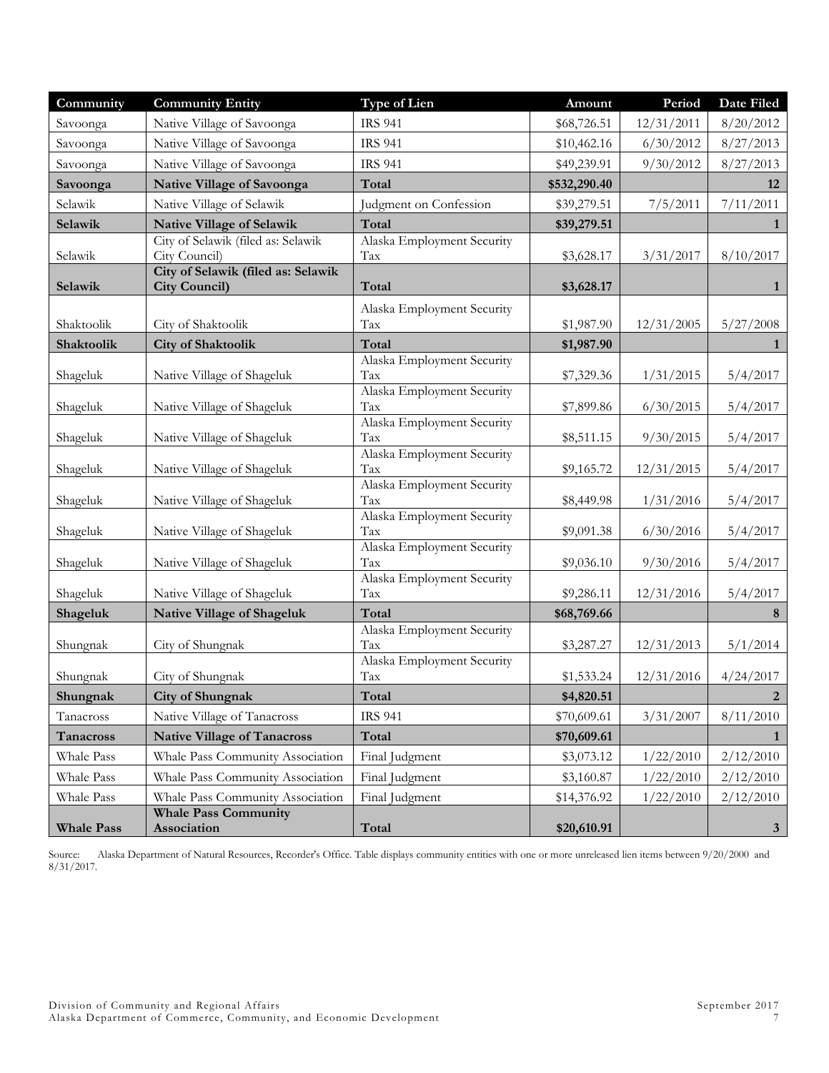| Community             | <b>Community Entity</b>                                | <b>Type of Lien</b>               | Amount                    | Period     | <b>Date Filed</b>           |
|-----------------------|--------------------------------------------------------|-----------------------------------|---------------------------|------------|-----------------------------|
| Savoonga              | Native Village of Savoonga                             | <b>IRS 941</b>                    | \$68,726.51               | 12/31/2011 | 8/20/2012                   |
| Savoonga              | Native Village of Savoonga                             | <b>IRS 941</b>                    | \$10,462.16               | 6/30/2012  | 8/27/2013                   |
| Savoonga              | Native Village of Savoonga                             | <b>IRS 941</b>                    | \$49,239.91               | 9/30/2012  | 8/27/2013                   |
| Savoonga              | <b>Native Village of Savoonga</b>                      | Total                             | \$532,290.40              |            | 12                          |
| Selawik               | Native Village of Selawik                              | Judgment on Confession            | \$39,279.51               | 7/5/2011   | 7/11/2011                   |
| Selawik               | <b>Native Village of Selawik</b>                       | Total                             | \$39,279.51               |            | $\mathbf{1}$                |
|                       | City of Selawik (filed as: Selawik                     | Alaska Employment Security        |                           |            |                             |
| Selawik               | City Council)<br>City of Selawik (filed as: Selawik    | Tax                               | \$3,628.17                | 3/31/2017  | 8/10/2017                   |
| Selawik               | <b>City Council)</b>                                   | Total                             | \$3,628.17                |            | $\mathbf{1}$                |
|                       |                                                        | Alaska Employment Security        |                           |            |                             |
| Shaktoolik            | City of Shaktoolik                                     | Tax                               | \$1,987.90                | 12/31/2005 | 5/27/2008                   |
| Shaktoolik            | <b>City of Shaktoolik</b>                              | Total                             | \$1,987.90                |            | 1                           |
| Shageluk              | Native Village of Shageluk                             | Alaska Employment Security<br>Tax |                           |            |                             |
|                       |                                                        | Alaska Employment Security        | \$7,329.36                | 1/31/2015  | 5/4/2017                    |
| Shageluk              | Native Village of Shageluk                             | Tax                               | \$7,899.86                | 6/30/2015  | 5/4/2017                    |
|                       |                                                        | Alaska Employment Security        |                           |            |                             |
| Shageluk              | Native Village of Shageluk                             | Tax<br>Alaska Employment Security | \$8,511.15                | 9/30/2015  | 5/4/2017                    |
| Shageluk              | Native Village of Shageluk                             | Tax                               | \$9,165.72                | 12/31/2015 | 5/4/2017                    |
|                       |                                                        | Alaska Employment Security        |                           |            |                             |
| Shageluk              | Native Village of Shageluk                             | Tax                               | \$8,449.98                | 1/31/2016  | 5/4/2017                    |
| Shageluk              | Native Village of Shageluk                             | Alaska Employment Security<br>Tax | \$9,091.38                | 6/30/2016  | 5/4/2017                    |
|                       |                                                        | Alaska Employment Security        |                           |            |                             |
| Shageluk              | Native Village of Shageluk                             | Tax                               | \$9,036.10                | 9/30/2016  | 5/4/2017                    |
| Shageluk              | Native Village of Shageluk                             | Alaska Employment Security<br>Tax | \$9,286.11                | 12/31/2016 | 5/4/2017                    |
| Shageluk              | Native Village of Shageluk                             | Total                             | \$68,769.66               |            | 8                           |
|                       |                                                        | Alaska Employment Security        |                           |            |                             |
| Shungnak              | City of Shungnak                                       | Tax                               | \$3,287.27                | 12/31/2013 | 5/1/2014                    |
|                       | City of Shungnak                                       | Alaska Employment Security<br>Tax |                           |            |                             |
| Shungnak              |                                                        | Total                             | \$1,533.24                | 12/31/2016 | 4/24/2017<br>$\overline{2}$ |
| Shungnak<br>Tanacross | <b>City of Shungnak</b><br>Native Village of Tanacross | <b>IRS 941</b>                    | \$4,820.51<br>\$70,609.61 | 3/31/2007  | 8/11/2010                   |
| Tanacross             | <b>Native Village of Tanacross</b>                     | Total                             | \$70,609.61               |            |                             |
| Whale Pass            | Whale Pass Community Association                       | Final Judgment                    | \$3,073.12                | 1/22/2010  | $\mathbf{1}$<br>2/12/2010   |
| Whale Pass            | Whale Pass Community Association                       | Final Judgment                    | \$3,160.87                | 1/22/2010  | 2/12/2010                   |
|                       | Whale Pass Community Association                       |                                   |                           |            |                             |
| Whale Pass            | <b>Whale Pass Community</b>                            | Final Judgment                    | \$14,376.92               | 1/22/2010  | 2/12/2010                   |
| <b>Whale Pass</b>     | Association                                            | Total                             | \$20,610.91               |            | 3 <sup>1</sup>              |

Source: Alaska Department of Natural Resources, Recorder's Office. Table displays community entities with one or more unreleased lien items between 9/20/2000 and 8/31/2017.